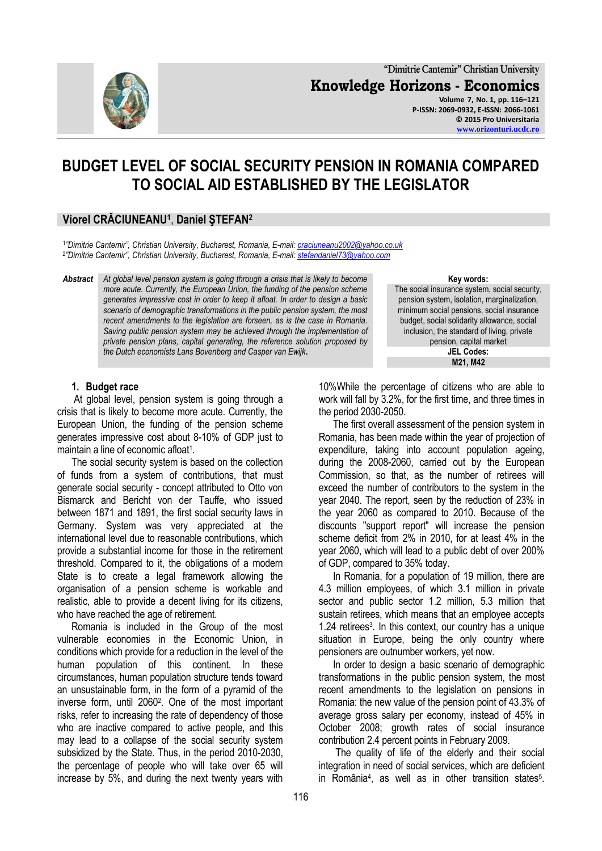

**"Dimitrie Cantemir" Christian University Knowledge Horizons - Economics Volume 7, No. 1, pp. 116–121 P-ISSN: 2069-0932, E-ISSN: 2066-1061 © 2015 Pro Universitaria**

**[www.orizonturi.ucdc.ro](http://www.orizonturi.ucdc.ro/)**

# **BUDGET LEVEL OF SOCIAL SECURITY PENSION IN ROMANIA COMPARED TO SOCIAL AID ESTABLISHED BY THE LEGISLATOR**

## **Viorel CRĂCIUNEANU<sup>1</sup>** , **Daniel ŞTEFAN<sup>2</sup>**

1 *"Dimitrie Cantemir", Christian University, Bucharest, Romania, E-mail[: craciuneanu2002@yahoo.co.uk](mailto:craciuneanu2002@yahoo.co.uk)* 2 *"Dimitrie Cantemir", Christian University, Bucharest, Romania, E-mail[: stefandaniel73@yahoo.com](mailto:stefandaniel73@yahoo.com)*

*Abstract At global level pension system is going through a crisis that is likely to become more acute. Currently, the European Union, the funding of the pension scheme generates impressive cost in order to keep it afloat. In order to design a basic scenario of demographic transformations in the public pension system, the most recent amendments to the legislation are forseen, as is the case in Romania. Saving public pension system may be achieved through the implementation of private pension plans, capital generating, the reference solution proposed by the Dutch economists Lans Bovenberg and Casper van Ewijk***.**

#### **1. Budget race**

At global level, pension system is going through a crisis that is likely to become more acute. Currently, the European Union, the funding of the pension scheme generates impressive cost about 8-10% of GDP just to maintain a line of economic afloat<sup>1</sup>.

The social security system is based on the collection of funds from a system of contributions, that must generate social security - concept attributed to Otto von Bismarck and Bericht von der Tauffe, who issued between 1871 and 1891, the first social security laws in Germany. System was very appreciated at the international level due to reasonable contributions, which provide a substantial income for those in the retirement threshold. Compared to it, the obligations of a modern State is to create a legal framework allowing the organisation of a pension scheme is workable and realistic, able to provide a decent living for its citizens, who have reached the age of retirement.

Romania is included in the Group of the most vulnerable economies in the Economic Union, in conditions which provide for a reduction in the level of the human population of this continent. In these circumstances, human population structure tends toward an unsustainable form, in the form of a pyramid of the inverse form, until 2060<sup>2</sup> . One of the most important risks, refer to increasing the rate of dependency of those who are inactive compared to active people, and this may lead to a collapse of the social security system subsidized by the State. Thus, in the period 2010-2030, the percentage of people who will take over 65 will increase by 5%, and during the next twenty years with

#### **Key words:**

The social insurance system, social security, pension system, isolation, marginalization, minimum social pensions, social insurance budget, social solidarity allowance, social inclusion, the standard of living, private pension, capital market **JEL Codes: M21, M42**

10%While the percentage of citizens who are able to work will fall by 3.2%, for the first time, and three times in the period 2030-2050.

The first overall assessment of the pension system in Romania, has been made within the year of projection of expenditure, taking into account population ageing, during the 2008-2060, carried out by the European Commission, so that, as the number of retirees will exceed the number of contributors to the system in the year 2040. The report, seen by the reduction of 23% in the year 2060 as compared to 2010. Because of the discounts "support report" will increase the pension scheme deficit from 2% in 2010, for at least 4% in the year 2060, which will lead to a public debt of over 200% of GDP, compared to 35% today.

In Romania, for a population of 19 million, there are 4.3 million employees, of which 3.1 million in private sector and public sector 1.2 million, 5.3 million that sustain retirees, which means that an employee accepts 1.24 retirees<sup>3</sup>. In this context, our country has a unique situation in Europe, being the only country where pensioners are outnumber workers, yet now.

In order to design a basic scenario of demographic transformations in the public pension system, the most recent amendments to the legislation on pensions in Romania: the new value of the pension point of 43.3% of average gross salary per economy, instead of 45% in October 2008; growth rates of social insurance contribution 2.4 percent points in February 2009.

The quality of life of the elderly and their social integration in need of social services, which are deficient in România<sup>4</sup> , as well as in other transition states<sup>5</sup> .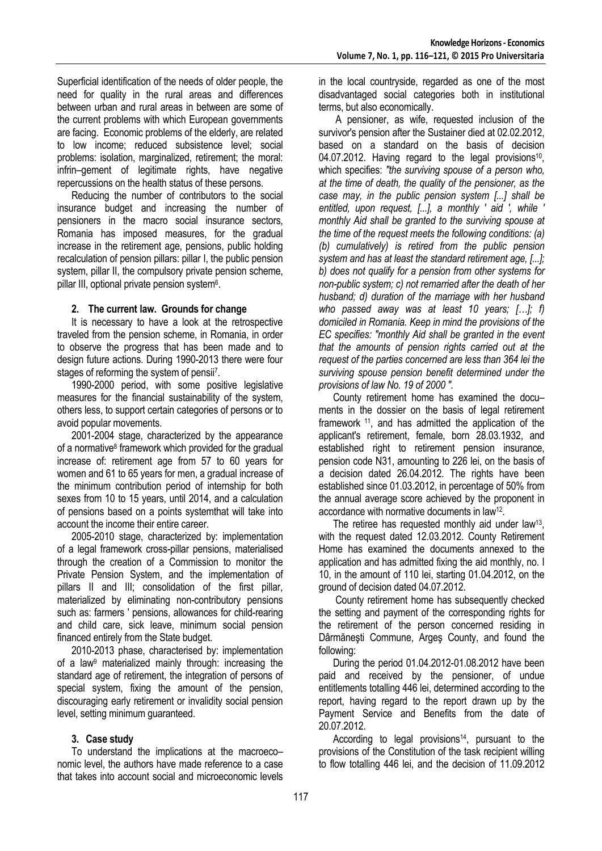Superficial identification of the needs of older people, the need for quality in the rural areas and differences between urban and rural areas in between are some of the current problems with which European governments are facing. Economic problems of the elderly, are related to low income; reduced subsistence level; social problems: isolation, marginalized, retirement; the moral: infrin–gement of legitimate rights, have negative repercussions on the health status of these persons.

Reducing the number of contributors to the social insurance budget and increasing the number of pensioners in the macro social insurance sectors, Romania has imposed measures, for the gradual increase in the retirement age, pensions, public holding recalculation of pension pillars: pillar I, the public pension system, pillar II, the compulsory private pension scheme, pillar III, optional private pension system<sup>6</sup>.

### **2. The current law. Grounds for change**

It is necessary to have a look at the retrospective traveled from the pension scheme, in Romania, in order to observe the progress that has been made and to design future actions. During 1990-2013 there were four stages of reforming the system of pensii<sup>7</sup>.

1990-2000 period, with some positive legislative measures for the financial sustainability of the system, others less, to support certain categories of persons or to avoid popular movements.

2001-2004 stage, characterized by the appearance of a normative<sup>8</sup> framework which provided for the gradual increase of: retirement age from 57 to 60 years for women and 61 to 65 years for men, a gradual increase of the minimum contribution period of internship for both sexes from 10 to 15 years, until 2014, and a calculation of pensions based on a points systemthat will take into account the income their entire career.

2005-2010 stage, characterized by: implementation of a legal framework cross-pillar pensions, materialised through the creation of a Commission to monitor the Private Pension System, and the implementation of pillars II and III; consolidation of the first pillar, materialized by eliminating non-contributory pensions such as: farmers ' pensions, allowances for child-rearing and child care, sick leave, minimum social pension financed entirely from the State budget.

2010-2013 phase, characterised by: implementation of a law<sup>9</sup> materialized mainly through: increasing the standard age of retirement, the integration of persons of special system, fixing the amount of the pension, discouraging early retirement or invalidity social pension level, setting minimum guaranteed.

#### **3. Case study**

To understand the implications at the macroeco– nomic level, the authors have made reference to a case that takes into account social and microeconomic levels in the local countryside, regarded as one of the most disadvantaged social categories both in institutional terms, but also economically.

A pensioner, as wife, requested inclusion of the survivor's pension after the Sustainer died at 02.02.2012, based on a standard on the basis of decision 04.07.2012. Having regard to the legal provisions<sup>10</sup>, which specifies: *"the surviving spouse of a person who, at the time of death, the quality of the pensioner, as the case may, in the public pension system [...] shall be entitled, upon request, [...], a monthly ' aid ', while ' monthly Aid shall be granted to the surviving spouse at the time of the request meets the following conditions: (a) (b) cumulatively) is retired from the public pension system and has at least the standard retirement age, [...]; b) does not qualify for a pension from other systems for non-public system; c) not remarried after the death of her husband; d) duration of the marriage with her husband who passed away was at least 10 years; […]; f) domiciled in Romania. Keep in mind the provisions of the EC specifies: "monthly Aid shall be granted in the event that the amounts of pension rights carried out at the request of the parties concerned are less than 364 lei the surviving spouse pension benefit determined under the provisions of law No. 19 of 2000 ".* 

County retirement home has examined the docu– ments in the dossier on the basis of legal retirement framework <sup>11</sup>, and has admitted the application of the applicant's retirement, female, born 28.03.1932, and established right to retirement pension insurance, pension code N31, amounting to 226 lei, on the basis of a decision dated 26.04.2012. The rights have been established since 01.03.2012, in percentage of 50% from the annual average score achieved by the proponent in accordance with normative documents in law<sup>12</sup> .

The retiree has requested monthly aid under law<sup>13</sup>, with the request dated 12.03.2012. County Retirement Home has examined the documents annexed to the application and has admitted fixing the aid monthly, no. I 10, in the amount of 110 lei, starting 01.04.2012, on the ground of decision dated 04.07.2012.

County retirement home has subsequently checked the setting and payment of the corresponding rights for the retirement of the person concerned residing in Dârmăneşti Commune, Argeş County, and found the following:

During the period 01.04.2012-01.08.2012 have been paid and received by the pensioner, of undue entitlements totalling 446 lei, determined according to the report, having regard to the report drawn up by the Payment Service and Benefits from the date of 20.07.2012.

According to legal provisions<sup>14</sup>, pursuant to the provisions of the Constitution of the task recipient willing to flow totalling 446 lei, and the decision of 11.09.2012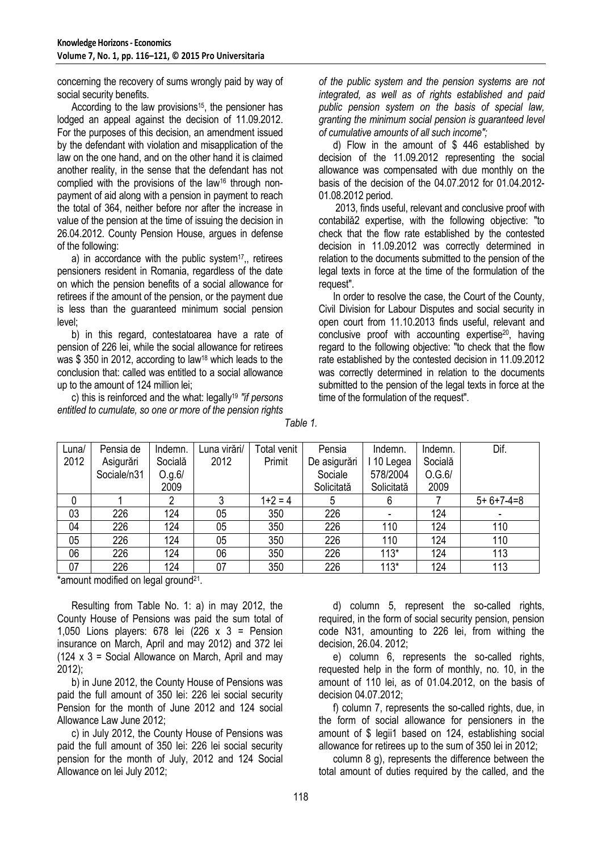concerning the recovery of sums wrongly paid by way of social security benefits.

According to the law provisions<sup>15</sup>, the pensioner has lodged an appeal against the decision of 11.09.2012. For the purposes of this decision, an amendment issued by the defendant with violation and misapplication of the law on the one hand, and on the other hand it is claimed another reality, in the sense that the defendant has not complied with the provisions of the law<sup>16</sup> through nonpayment of aid along with a pension in payment to reach the total of 364, neither before nor after the increase in value of the pension at the time of issuing the decision in 26.04.2012. County Pension House, argues in defense of the following:

a) in accordance with the public system<sup>17</sup>, retirees pensioners resident in Romania, regardless of the date on which the pension benefits of a social allowance for retirees if the amount of the pension, or the payment due is less than the guaranteed minimum social pension level;

b) in this regard, contestatoarea have a rate of pension of 226 lei, while the social allowance for retirees was \$350 in 2012, according to law<sup>18</sup> which leads to the conclusion that: called was entitled to a social allowance up to the amount of 124 million lei;

c) this is reinforced and the what: legally<sup>19</sup> *"if persons entitled to cumulate, so one or more of the pension rights* 

*of the public system and the pension systems are not integrated, as well as of rights established and paid public pension system on the basis of special law, granting the minimum social pension is guaranteed level of cumulative amounts of all such income";*

d) Flow in the amount of \$ 446 established by decision of the 11.09.2012 representing the social allowance was compensated with due monthly on the basis of the decision of the 04.07.2012 for 01.04.2012- 01.08.2012 period.

2013, finds useful, relevant and conclusive proof with contabilă2 expertise, with the following objective: "to check that the flow rate established by the contested decision in 11.09.2012 was correctly determined in relation to the documents submitted to the pension of the legal texts in force at the time of the formulation of the request".

In order to resolve the case, the Court of the County, Civil Division for Labour Disputes and social security in open court from 11.10.2013 finds useful, relevant and conclusive proof with accounting expertise20, having regard to the following objective: "to check that the flow rate established by the contested decision in 11.09.2012 was correctly determined in relation to the documents submitted to the pension of the legal texts in force at the time of the formulation of the request".

| Luna/ | Pensia de   | Indemn. | Luna virări/ | Total venit | Pensia       | Indemn.    | Indemn. | Dif.        |
|-------|-------------|---------|--------------|-------------|--------------|------------|---------|-------------|
| 2012  | Asigurări   | Socială | 2012         | Primit      | De asigurări | . 10 Legea | Socială |             |
|       | Sociale/n31 | O.g.6/  |              |             | Sociale      | 578/2004   | O.G.6/  |             |
|       |             | 2009    |              |             | Solicitată   | Solicitată | 2009    |             |
| 0     |             | 2       |              | $1+2=4$     | 5            | 6          |         | $5+6+7-4=8$ |
| 03    | 226         | 124     | 05           | 350         | 226          |            | 124     |             |
| 04    | 226         | 124     | 05           | 350         | 226          | 110        | 124     | 110         |
| 05    | 226         | 124     | 05           | 350         | 226          | 110        | 124     | 110         |
| 06    | 226         | 124     | 06           | 350         | 226          | $113*$     | 124     | 113         |
| 07    | 226         | 124     | 07           | 350         | 226          | $113*$     | 124     | 113         |

*Table 1.*

\*amount modified on legal ground<sup>21</sup>.

Resulting from Table No. 1: a) in may 2012, the County House of Pensions was paid the sum total of 1,050 Lions players: 678 lei (226 x 3 = Pension insurance on March, April and may 2012) and 372 lei (124  $\times$  3 = Social Allowance on March, April and may 2012);

b) in June 2012, the County House of Pensions was paid the full amount of 350 lei: 226 lei social security Pension for the month of June 2012 and 124 social Allowance Law June 2012;

c) in July 2012, the County House of Pensions was paid the full amount of 350 lei: 226 lei social security pension for the month of July, 2012 and 124 Social Allowance on lei July 2012;

d) column 5, represent the so-called rights, required, in the form of social security pension, pension code N31, amounting to 226 lei, from withing the decision, 26.04. 2012;

e) column 6, represents the so-called rights, requested help in the form of monthly, no. 10, in the amount of 110 lei, as of 01.04.2012, on the basis of decision 04.07.2012;

f) column 7, represents the so-called rights, due, in the form of social allowance for pensioners in the amount of \$ legii1 based on 124, establishing social allowance for retirees up to the sum of 350 lei in 2012;

column 8 g), represents the difference between the total amount of duties required by the called, and the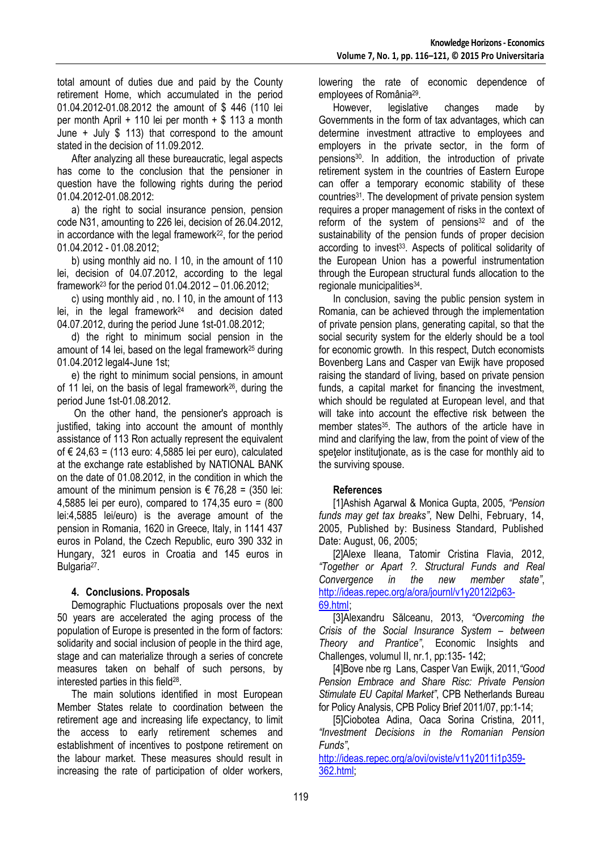total amount of duties due and paid by the County retirement Home, which accumulated in the period 01.04.2012-01.08.2012 the amount of \$ 446 (110 lei per month April  $+$  110 lei per month  $+$  \$ 113 a month June + July \$ 113) that correspond to the amount stated in the decision of 11.09.2012.

After analyzing all these bureaucratic, legal aspects has come to the conclusion that the pensioner in question have the following rights during the period 01.04.2012-01.08.2012:

a) the right to social insurance pension, pension code N31, amounting to 226 lei, decision of 26.04.2012, in accordance with the legal framework $22$ , for the period 01.04.2012 - 01.08.2012;

b) using monthly aid no. I 10, in the amount of 110 lei, decision of 04.07.2012, according to the legal framework<sup>23</sup> for the period  $01.04.2012 - 01.06.2012$ ;

c) using monthly aid , no. I 10, in the amount of 113 lei, in the legal framework<sup>24</sup> and decision dated 04.07.2012, during the period June 1st-01.08.2012;

d) the right to minimum social pension in the amount of 14 lei, based on the legal framework<sup>25</sup> during 01.04.2012 legal4-June 1st;

e) the right to minimum social pensions, in amount of 11 lei, on the basis of legal framework26, during the period June 1st-01.08.2012.

On the other hand, the pensioner's approach is justified, taking into account the amount of monthly assistance of 113 Ron actually represent the equivalent of € 24,63 = (113 euro: 4,5885 lei per euro), calculated at the exchange rate established by NATIONAL BANK on the date of 01.08.2012, in the condition in which the amount of the minimum pension is  $\epsilon$  76,28 = (350 lei: 4,5885 lei per euro), compared to 174,35 euro = (800 lei:4,5885 lei/euro) is the average amount of the pension in Romania, 1620 in Greece, Italy, in 1141 437 euros in Poland, the Czech Republic, euro 390 332 in Hungary, 321 euros in Croatia and 145 euros in Bulgaria<sup>27</sup>.

### **4. Conclusions. Proposals**

Demographic Fluctuations proposals over the next 50 years are accelerated the aging process of the population of Europe is presented in the form of factors: solidarity and social inclusion of people in the third age, stage and can materialize through a series of concrete measures taken on behalf of such persons, by interested parties in this field<sup>28</sup>.

The main solutions identified in most European Member States relate to coordination between the retirement age and increasing life expectancy, to limit the access to early retirement schemes and establishment of incentives to postpone retirement on the labour market. These measures should result in increasing the rate of participation of older workers,

lowering the rate of economic dependence of employees of România<sup>29</sup>.

However, legislative changes made by Governments in the form of tax advantages, which can determine investment attractive to employees and employers in the private sector, in the form of pensions30. In addition, the introduction of private retirement system in the countries of Eastern Europe can offer a temporary economic stability of these countries<sup>31</sup>. The development of private pension system requires a proper management of risks in the context of reform of the system of pensions<sup>32</sup> and of the sustainability of the pension funds of proper decision according to invest<sup>33</sup>. Aspects of political solidarity of the European Union has a powerful instrumentation through the European structural funds allocation to the regionale municipalities<sup>34</sup>.

In conclusion, saving the public pension system in Romania, can be achieved through the implementation of private pension plans, generating capital, so that the social security system for the elderly should be a tool for economic growth. In this respect, Dutch economists Bovenberg Lans and Casper van Ewijk have proposed raising the standard of living, based on private pension funds, a capital market for financing the investment, which should be regulated at European level, and that will take into account the effective risk between the member states<sup>35</sup>. The authors of the article have in mind and clarifying the law, from the point of view of the spetelor institutionate, as is the case for monthly aid to the surviving spouse.

### **References**

[1]Ashish Agarwal & Monica Gupta, 2005, *"Pension funds may get tax breaks"*, New Delhi, February, 14, 2005, Published by: Business Standard, Published Date: August, 06, 2005;

[2]Alexe Ileana, Tatomir Cristina Flavia, 2012, *"Together or Apart ?. Structural Funds and Real Convergence in the new member state"*, [http://ideas.repec.org/a/ora/journl/v1y2012i2p63-](http://ideas.repec.org/a/ora/journl/v1y2012i2p63-69.html) [69.html ;](http://ideas.repec.org/a/ora/journl/v1y2012i2p63-69.html)

[3]Alexandru Sălceanu, 2013, *"Overcoming the Crisis of the Social Insurance System – between Theory and Prantice"*, Economic Insights and Challenges, volumul II, nr.1, pp:135- 142;

[4]Bove nbe rg Lans, Casper Van Ewijk, 2011,*"Good Pension Embrace and Share Risc: Private Pension Stimulate EU Capital Market"*, CPB Netherlands Bureau for Policy Analysis, CPB Policy Brief 2011/07, pp:1-14;

[5]Ciobotea Adina, Oaca Sorina Cristina, 2011, *"Investment Decisions in the Romanian Pension Funds"*,

[http://ideas.repec.org/a/ovi/oviste/v11y2011i1p359-](http://ideas.repec.org/a/ovi/oviste/v11y2011i1p359-362.html) [362.html;](http://ideas.repec.org/a/ovi/oviste/v11y2011i1p359-362.html)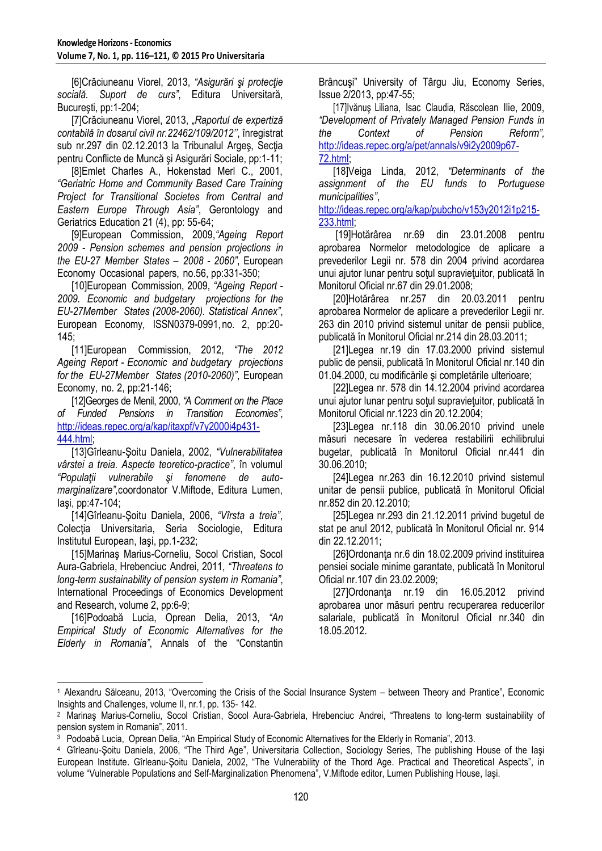[6]Crăciuneanu Viorel, 2013, *"Asigurări şi protecţie socială. Suport de curs"*, Editura Universitară, București, pp:1-204;

[7]Crăciuneanu Viorel, 2013, *"Raportul de expertiză contabilă în dosarul civil nr.22462/109/2012''*, înregistrat sub nr.297 din 02.12.2013 la Tribunalul Argeş, Secţia pentru Conflicte de Muncă şi Asigurări Sociale, pp:1-11;

[8]Emlet Charles A., Hokenstad Merl C., 2001, *"Geriatric Home and Community Based Care Training Project for Transitional Societes from Central and Eastern Europe Through Asia"*, Gerontology and Geriatrics Education 21 (4), pp: 55-64;

[9]European Commission, 2009,*"Ageing Report 2009 - Pension schemes and pension projections in the EU-27 Member States – 2008 - 2060"*, European Economy Occasional papers, no.56, pp:331-350;

[10]European Commission, 2009, *"Ageing Report - 2009. Economic and budgetary projections for the EU-27Member States (2008-2060). Statistical Annex"*, European Economy, ISSN0379-0991,no. 2, pp:20- 145;

[11]European Commission, 2012, *"The 2012 Ageing Report - Economic and budgetary projections for the EU-27Member States (2010-2060)"*, European Economy, no. 2, pp:21-146;

[12]Georges de Menil, 2000, *"A Comment on the Place of Funded Pensions in Transition Economies"*, [http://ideas.repec.org/a/kap/itaxpf/v7y2000i4p431-](http://ideas.repec.org/a/kap/itaxpf/v7y2000i4p431-%20444.html) [444.html;](http://ideas.repec.org/a/kap/itaxpf/v7y2000i4p431-%20444.html) 

[13]Gîrleanu-Şoitu Daniela, 2002, *"Vulnerabilitatea vârstei a treia. Aspecte teoretico-practice"*, în volumul *"Populaţii vulnerabile şi fenomene de automarginalizare",*coordonator V.Miftode, Editura Lumen, Iaşi, pp:47-104;

[14]Gîrleanu-Şoitu Daniela, 2006, *"Vîrsta a treia"*, Colecția Universitaria, Seria Sociologie, Editura Institutul European, Iaşi, pp.1-232;

[15]Marinaş Marius-Corneliu, Socol Cristian, Socol Aura-Gabriela, Hrebenciuc Andrei, 2011, *"Threatens to long-term sustainability of pension system in Romania"*, International Proceedings of Economics Development and Research, volume 2, pp:6-9;

[16]Podoabă Lucia, Oprean Delia, 2013, *"An Empirical Study of Economic Alternatives for the Elderly in Romania"*, Annals of the "Constantin Brâncuşi" University of Târgu Jiu, Economy Series, Issue 2/2013, pp:47-55;

[17]Ivănuş Liliana, Isac Claudia, Răscolean Ilie, 2009, *"Development of Privately Managed Pension Funds in the Context of Pension Reform",* [http://ideas.repec.org/a/pet/annals/v9i2y2009p67-](http://ideas.repec.org/a/pet/annals/v9i2y2009p67-72.html) [72.html;](http://ideas.repec.org/a/pet/annals/v9i2y2009p67-72.html)

[18]Veiga Linda, 2012, *"Determinants of the assignment of the EU funds to Portuguese municipalities"*,

[http://ideas.repec.org/a/kap/pubcho/v153y2012i1p215-](http://ideas.repec.org/a/kap/pubcho/v153y2012i1p215-233.html) [233.html;](http://ideas.repec.org/a/kap/pubcho/v153y2012i1p215-233.html)

[19]Hotărârea nr.69 din 23.01.2008 pentru aprobarea Normelor metodologice de aplicare a prevederilor Legii nr. 578 din 2004 privind acordarea unui ajutor lunar pentru sotul supravietuitor, publicată în Monitorul Oficial nr.67 din 29.01.2008;

[20]Hotărârea nr.257 din 20.03.2011 pentru aprobarea Normelor de aplicare a prevederilor Legii nr. 263 din 2010 privind sistemul unitar de pensii publice, publicată în Monitorul Oficial nr.214 din 28.03.2011;

[21]Legea nr.19 din 17.03.2000 privind sistemul public de pensii, publicată în Monitorul Oficial nr.140 din 01.04.2000, cu modificările şi completările ulterioare;

[22]Legea nr. 578 din 14.12.2004 privind acordarea unui ajutor lunar pentru soţul supravieţuitor, publicată în Monitorul Oficial nr.1223 din 20.12.2004;

[23]Legea nr.118 din 30.06.2010 privind unele măsuri necesare în vederea restabilirii echilibrului bugetar, publicată în Monitorul Oficial nr.441 din 30.06.2010;

[24]Legea nr.263 din 16.12.2010 privind sistemul unitar de pensii publice, publicată în Monitorul Oficial nr.852 din 20.12.2010;

[25]Legea nr.293 din 21.12.2011 privind bugetul de stat pe anul 2012, publicată în Monitorul Oficial nr. 914 din 22.12.2011;

[26]Ordonanţa nr.6 din 18.02.2009 privind instituirea pensiei sociale minime garantate, publicată în Monitorul Oficial nr.107 din 23.02.2009;

[27]Ordonanta nr.19 din 16.05.2012 privind aprobarea unor măsuri pentru recuperarea reducerilor salariale, publicată în Monitorul Oficial nr.340 din 18.05.2012.

<sup>-</sup><sup>1</sup> Alexandru Sălceanu, 2013, "Overcoming the Crisis of the Social Insurance System – between Theory and Prantice", Economic Insights and Challenges, volume II, nr.1, pp. 135- 142.

<sup>2</sup> Marinaş Marius-Corneliu, Socol Cristian, Socol Aura-Gabriela, Hrebenciuc Andrei, "Threatens to long-term sustainability of pension system in Romania", 2011.

<sup>3</sup> Podoabă Lucia, Oprean Delia, "An Empirical Study of Economic Alternatives for the Elderly in Romania", 2013.

<sup>4</sup> Gîrleanu-Şoitu Daniela, 2006, "The Third Age", Universitaria Collection, Sociology Series, The publishing House of the Iaşi European Institute. Gîrleanu-Şoitu Daniela, 2002, "The Vulnerability of the Thord Age. Practical and Theoretical Aspects", in volume "Vulnerable Populations and Self-Marginalization Phenomena", V.Miftode editor, Lumen Publishing House, Iaşi.